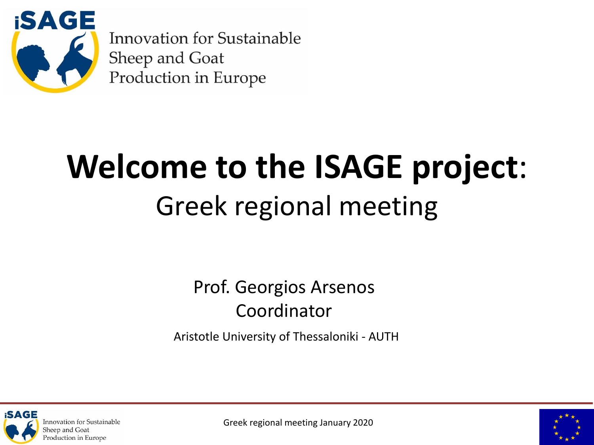

**Innovation for Sustainable Sheep and Goat** Production in Europe

## **Welcome to the ISAGE project**: Greek regional meeting

Prof. Georgios Arsenos Coordinator

Aristotle University of Thessaloniki - AUTH





Greek regional meeting January 2020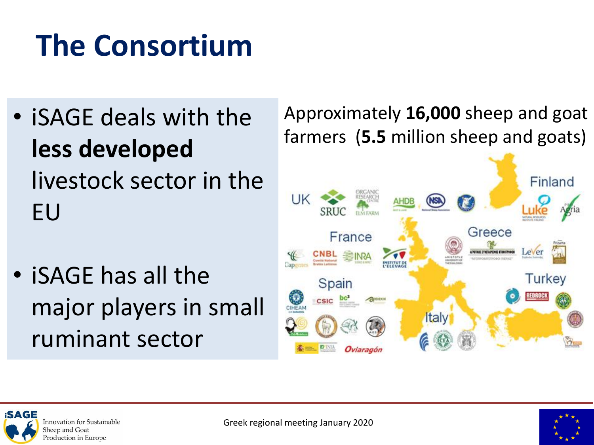### **The Consortium**

- iSAGE deals with the **less developed**  livestock sector in the EU
- iSAGE has all the major players in small ruminant sector

Approximately **16,000** sheep and goat farmers (**5.5** million sheep and goats)





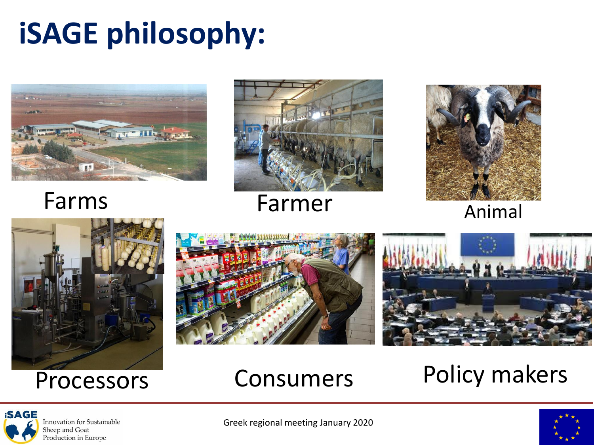### **iSAGE philosophy:**





Farms Farmer Animal









### Processors Consumers Policy makers





Greek regional meeting January 2020

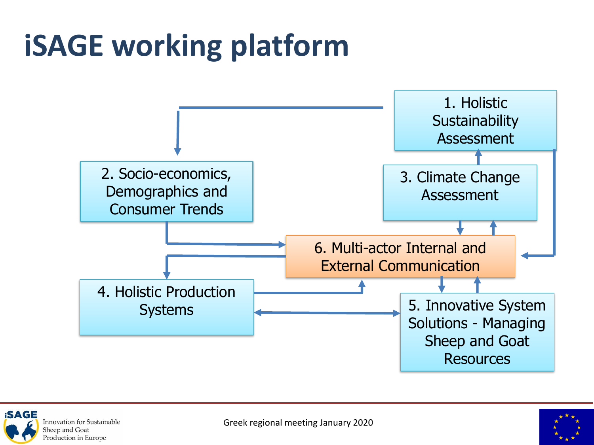### **iSAGE working platform**





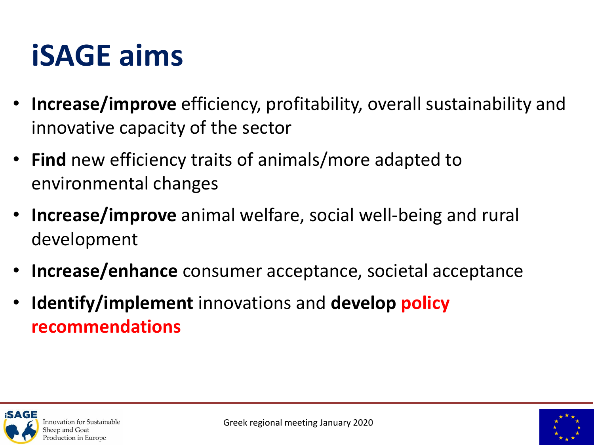### **iSAGE aims**

- **Increase/improve** efficiency, profitability, overall sustainability and innovative capacity of the sector
- **Find** new efficiency traits of animals/more adapted to environmental changes
- **Increase/improve** animal welfare, social well-being and rural development
- **Increase/enhance** consumer acceptance, societal acceptance
- **Identify/implement** innovations and **develop policy recommendations**



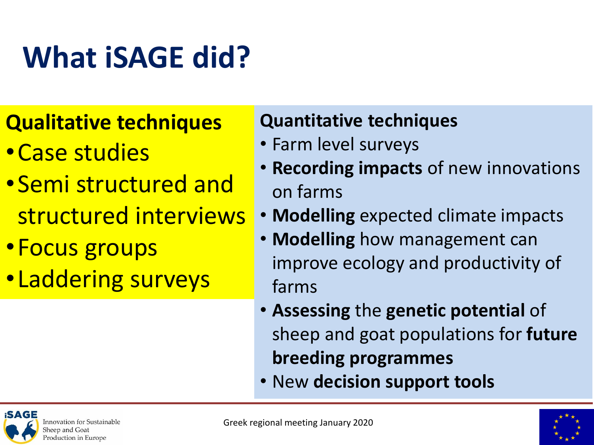### **What iSAGE did?**

#### **Qualitative techniques**

- •Case studies
- •Semi structured and structured interviews
- •Focus groups
- Laddering surveys

#### **Quantitative techniques**

- Farm level surveys
- **Recording impacts** of new innovations on farms
- **Modelling** expected climate impacts
- **Modelling** how management can improve ecology and productivity of farms
- **Assessing** the **genetic potential** of sheep and goat populations for **future breeding programmes**
- New **decision support tools**



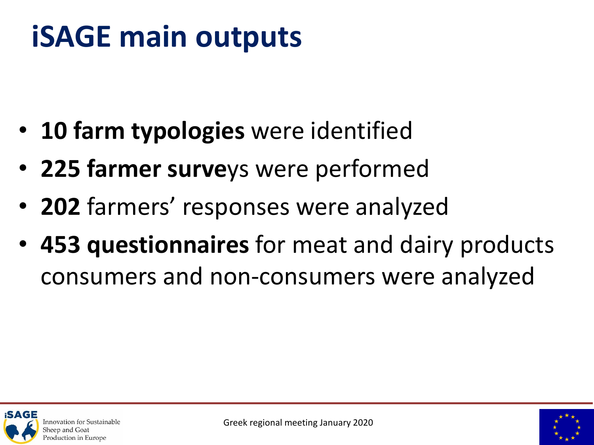### **iSAGE main outputs**

- **10 farm typologies** were identified
- **225 farmer surve**ys were performed
- **202** farmers' responses were analyzed
- **453 questionnaires** for meat and dairy products consumers and non-consumers were analyzed





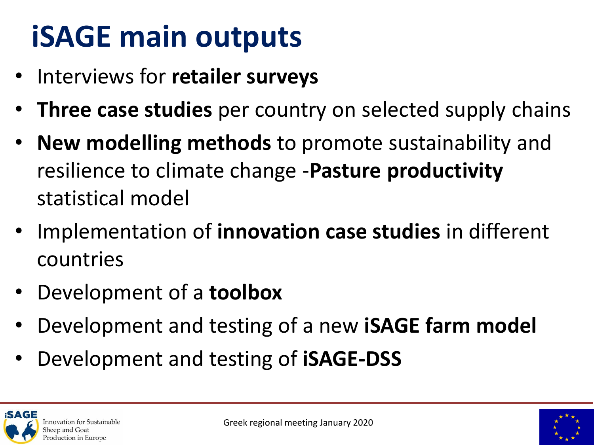### **iSAGE main outputs**

- Interviews for **retailer surveys**
- **Three case studies** per country on selected supply chains
- **New modelling methods** to promote sustainability and resilience to climate change -**Pasture productivity**  statistical model
- Implementation of **innovation case studies** in different countries
- Development of a **toolbox**
- Development and testing of a new **iSAGE farm model**
- Development and testing of **iSAGE-DSS**

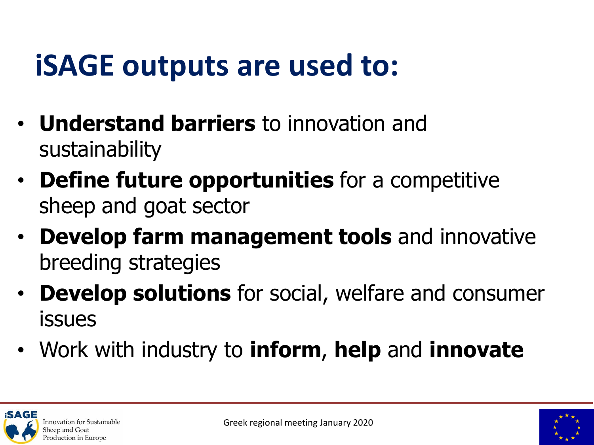### **iSAGE outputs are used to:**

- **Understand barriers** to innovation and sustainability
- **Define future opportunities** for a competitive sheep and goat sector
- **Develop farm management tools** and innovative breeding strategies
- **Develop solutions** for social, welfare and consumer issues
- Work with industry to **inform**, **help** and **innovate**



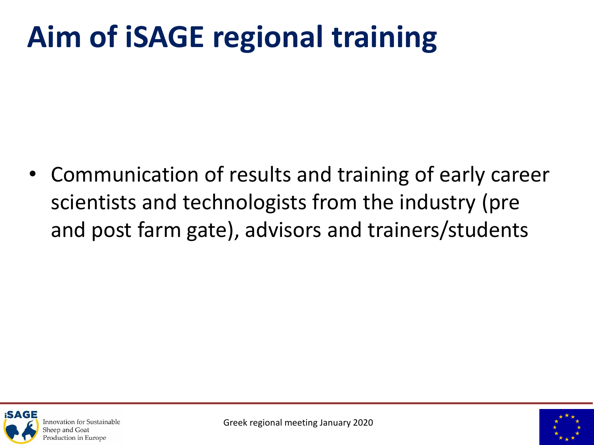### **Aim of iSAGE regional training**

• Communication of results and training of early career scientists and technologists from the industry (pre and post farm gate), advisors and trainers/students



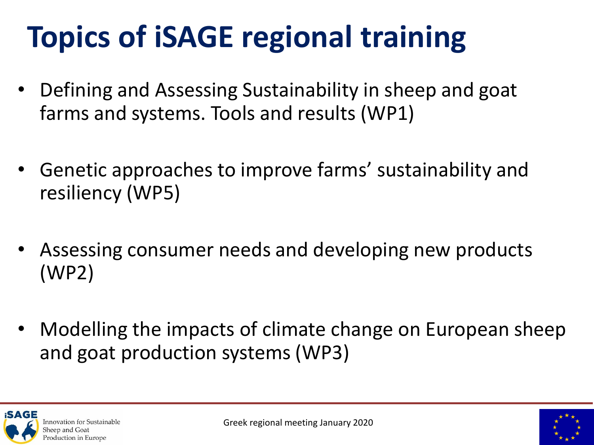### **Topics of iSAGE regional training**

- Defining and Assessing Sustainability in sheep and goat farms and systems. Tools and results (WP1)
- Genetic approaches to improve farms' sustainability and resiliency (WP5)
- Assessing consumer needs and developing new products (WP2)
- Modelling the impacts of climate change on European sheep and goat production systems (WP3)



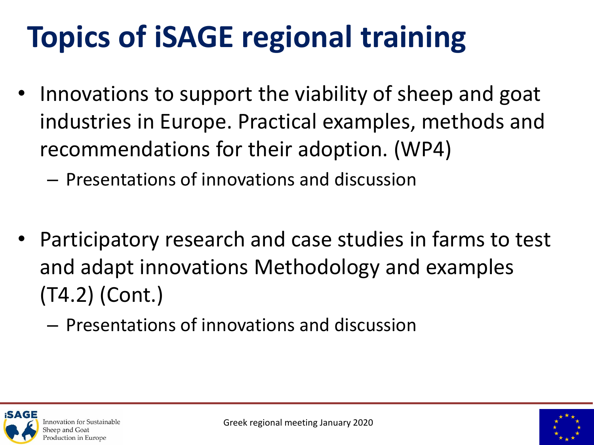### **Topics of iSAGE regional training**

- Innovations to support the viability of sheep and goat industries in Europe. Practical examples, methods and recommendations for their adoption. (WP4)
	- Presentations of innovations and discussion
- Participatory research and case studies in farms to test and adapt innovations Methodology and examples (T4.2) (Cont.)
	- Presentations of innovations and discussion



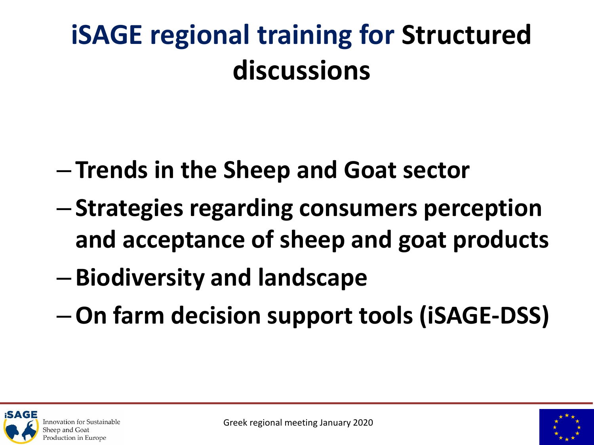### **iSAGE regional training for Structured discussions**

- **Trends in the Sheep and Goat sector**
- **Strategies regarding consumers perception and acceptance of sheep and goat products**
- **Biodiversity and landscape**
- –**On farm decision support tools (iSAGE-DSS)**